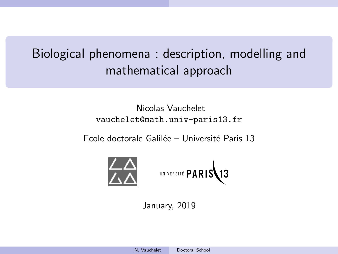# <span id="page-0-1"></span><span id="page-0-0"></span>Biological phenomena : description, modelling and mathematical approach

# Nicolas Vauchelet vauchelet@math.univ-paris13.fr

Ecole doctorale Galilée – Université Paris 13



UNIVERSITÉ PARIS13

January, 2019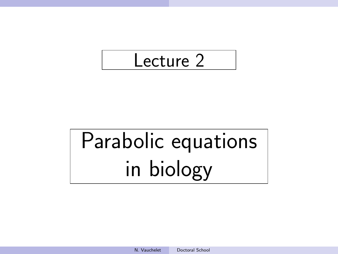

# Parabolic equations in biology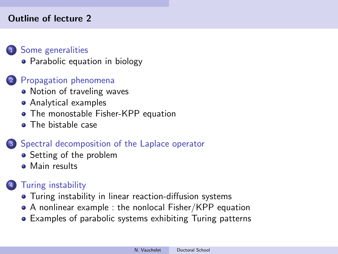# Outline of lecture 2

# <sup>1</sup> [Some generalities](#page-3-0)

• [Parabolic equation in biology](#page-3-0)

# <sup>2</sup> [Propagation phenomena](#page-14-0)

- [Notion of traveling waves](#page-14-0)
- [Analytical examples](#page-19-0)
- [The monostable Fisher-KPP equation](#page-22-0)
- [The bistable case](#page-33-0)

# <sup>3</sup> [Spectral decomposition of the Laplace operator](#page-36-0)

- [Setting of the problem](#page-36-0)
- [Main results](#page-41-0)

# **[Turing instability](#page-45-0)**

- [Turing instability in linear reaction-diffusion systems](#page-45-0)
- [A nonlinear example : the nonlocal Fisher/KPP equation](#page-54-0)
- [Examples of parabolic systems exhibiting Turing patterns](#page-60-0)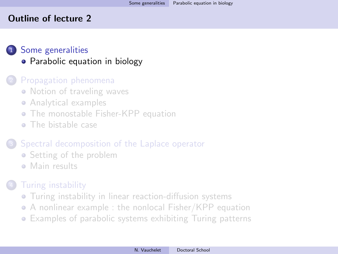# <span id="page-3-0"></span>Outline of lecture 2

# <sup>1</sup> [Some generalities](#page-3-0)

• [Parabolic equation in biology](#page-3-0)

# [Propagation phenomena](#page-14-0)

- [Notion of traveling waves](#page-14-0)
- [Analytical examples](#page-19-0)
- **[The monostable Fisher-KPP equation](#page-22-0)**
- [The bistable case](#page-33-0)

# [Spectral decomposition of the Laplace operator](#page-36-0)

- [Setting of the problem](#page-36-0)
- [Main results](#page-41-0)

# **[Turing instability](#page-45-0)**

- [Turing instability in linear reaction-diffusion systems](#page-45-0)
- [A nonlinear example : the nonlocal Fisher/KPP equation](#page-54-0)
- [Examples of parabolic systems exhibiting Turing patterns](#page-60-0)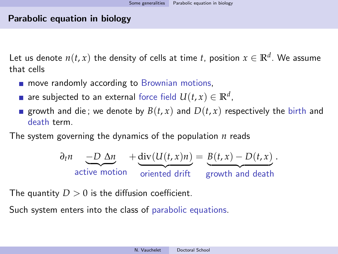# Parabolic equation in biology

Let us denote  $n(t,x)$  the density of cells at time  $t$ , position  $x\in\mathbb{R}^d.$  We assume that cells

- **n** move randomly according to Brownian motions,
- are subjected to an external force field  $U(t,x) \in \mathbb{R}^d$ ,
- growth and die; we denote by  $B(t, x)$  and  $D(t, x)$  respectively the birth and death term.

The system governing the dynamics of the population *n* reads

$$
\frac{\partial_t n}{\partial t} - \frac{D \Delta n}{\partial t} + \frac{\text{div}(U(t, x)n)}{\text{oriented drift}} = \frac{B(t, x) - D(t, x)}{\text{growth and death}}.
$$

The quantity  $D > 0$  is the diffusion coefficient.

Such system enters into the class of parabolic equations.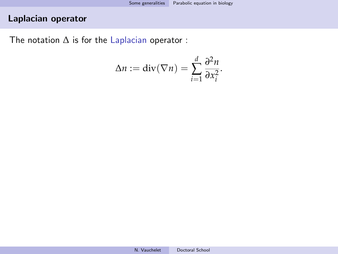# Laplacian operator

The notation  $\Delta$  is for the Laplacian operator :

$$
\Delta n := \operatorname{div}(\nabla n) = \sum_{i=1}^d \frac{\partial^2 n}{\partial x_i^2}.
$$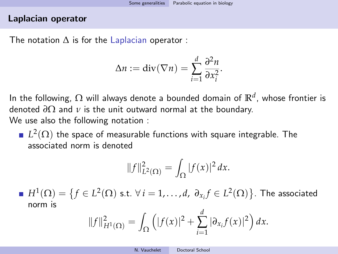### Laplacian operator

The notation  $\Delta$  is for the Laplacian operator :

$$
\Delta n := \operatorname{div}(\nabla n) = \sum_{i=1}^d \frac{\partial^2 n}{\partial x_i^2}.
$$

In the following, Ω will always denote a bounded domain of **R***<sup>d</sup>* , whose frontier is denoted *∂*Ω and *ν* is the unit outward normal at the boundary. We use also the following notation :

 $L^2(\Omega)$  the space of measurable functions with square integrable. The associated norm is denoted

$$
||f||_{L^{2}(\Omega)}^{2} = \int_{\Omega} |f(x)|^{2} dx.
$$

 $H^1(\Omega) = \big\{ f \in L^2(\Omega) \text{ s.t. } \forall \, i=1,\ldots,d, \,\, \partial_{x_i} f \in L^2(\Omega) \big\}.$  The associated norm is

$$
||f||_{H^1(\Omega)}^2 = \int_{\Omega} \left( |f(x)|^2 + \sum_{i=1}^d |\partial_{x_i} f(x)|^2 \right) dx.
$$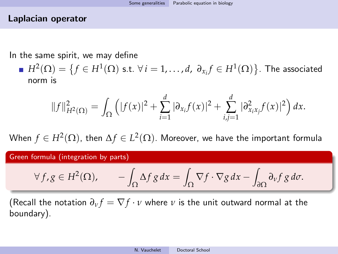# Laplacian operator

In the same spirit, we may define

 $H^2(\Omega) = \{f \in H^1(\Omega) \text{ s.t. } \forall i = 1, ..., d, \ \partial_{x_i} f \in H^1(\Omega)\}.$  The associated norm is

$$
||f||_{H^{2}(\Omega)}^{2} = \int_{\Omega} \left( |f(x)|^{2} + \sum_{i=1}^{d} |\partial_{x_{i}}f(x)|^{2} + \sum_{i,j=1}^{d} |\partial_{x_{i}x_{j}}^{2}f(x)|^{2} \right) dx.
$$

When  $f\in H^2(\Omega)$ , then  $\Delta f\in L^2(\Omega).$  Moreover, we have the important formula

Green formula (integration by parts)

$$
\forall f, g \in H^2(\Omega), \qquad -\int_{\Omega} \Delta f \, g \, dx = \int_{\Omega} \nabla f \cdot \nabla g \, dx - \int_{\partial \Omega} \partial_v f \, g \, d\sigma.
$$

(Recall the notation  $\partial_{\nu} f = \nabla f \cdot \nu$  where  $\nu$  is the unit outward normal at the boundary).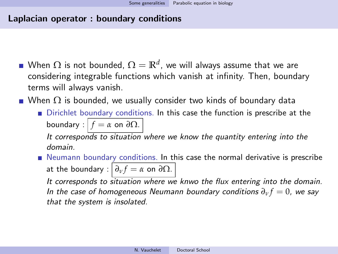# Laplacian operator : boundary conditions

- When  $\Omega$  is not bounded,  $\Omega=\mathbb{R}^d$ , we will always assume that we are considering integrable functions which vanish at infinity. Then, boundary terms will always vanish.
- When  $\Omega$  is bounded, we usually consider two kinds of boundary data
	- Dirichlet boundary conditions. In this case the function is prescribe at the boundary :  $f = \alpha$  on  $\partial \Omega$ .

It corresponds to situation where we know the quantity entering into the domain.

Neumann boundary conditions. In this case the normal derivative is prescribe at the boundary :  $\partial_{\nu} f = \alpha$  on  $\partial \Omega$ .

It corresponds to situation where we knwo the flux entering into the domain. In the case of homogeneous Neumann boundary conditions  $\partial_{\nu} f = 0$ , we say that the system is insolated.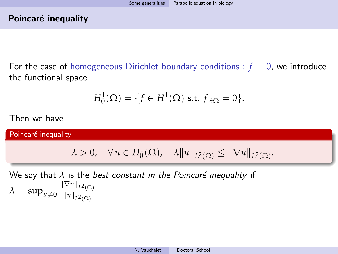# Poincaré inequality

For the case of homogeneous Dirichlet boundary conditions :  $f = 0$ , we introduce the functional space

$$
H_0^1(\Omega) = \{ f \in H^1(\Omega) \text{ s.t. } f_{|\partial\Omega} = 0 \}.
$$

Then we have

Poincaré inequality

$$
\exists \lambda > 0, \quad \forall u \in H_0^1(\Omega), \quad \lambda \|u\|_{L^2(\Omega)} \le \|\nabla u\|_{L^2(\Omega)}.
$$

We say that  $\lambda$  is the *best constant in the Poincaré inequality* if  $\lambda = \sup_{u \neq 0} \frac{\|\nabla u\|_{L^2(\Omega)}}{\|u\|_{L^2(\Omega)}}$  $\frac{||u||_{L^2(\Omega)}}{||u||_{L^2(\Omega)}}$ .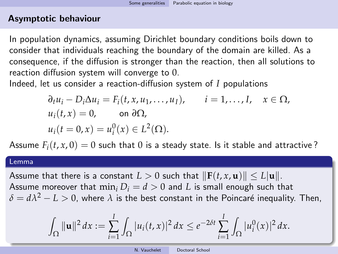In population dynamics, assuming Dirichlet boundary conditions boils down to consider that individuals reaching the boundary of the domain are killed. As a consequence, if the diffusion is stronger than the reaction, then all solutions to reaction diffusion system will converge to 0.

Indeed, let us consider a reaction-diffusion system of *I* populations

$$
\partial_t u_i - D_i \Delta u_i = F_i(t, x, u_1, \dots, u_I), \qquad i = 1, \dots, I, \quad x \in \Omega,
$$
  
\n
$$
u_i(t, x) = 0, \qquad \text{on } \partial \Omega,
$$
  
\n
$$
u_i(t = 0, x) = u_i^0(x) \in L^2(\Omega).
$$

Assume  $F_i(t, x, 0) = 0$  such that 0 is a steady state. Is it stable and attractive?

#### Lemma

Assume that there is a constant  $L > 0$  such that  $\|\mathbf{F}(t, x, \mathbf{u})\| \le L |\mathbf{u}\|$ . Assume moreover that  $\min_i D_i = d > 0$  and *L* is small enough such that  $\delta = d\lambda^2 - L > 0$ , where  $\lambda$  is the best constant in the Poincaré inequality. Then,

$$
\int_{\Omega} \|\mathbf{u}\|^2 dx := \sum_{i=1}^I \int_{\Omega} |u_i(t,x)|^2 dx \leq e^{-2\delta t} \sum_{i=1}^I \int_{\Omega} |u_i^0(x)|^2 dx.
$$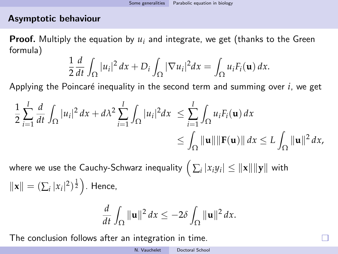Proof. Multiply the equation by *u<sup>i</sup>* and integrate, we get (thanks to the Green formula)

$$
\frac{1}{2}\frac{d}{dt}\int_{\Omega}|u_i|^2\,dx+D_i\int_{\Omega}|\nabla u_i|^2\,dx=\int_{\Omega}u_iF_i(\mathbf{u})\,dx.
$$

Applying the Poincaré inequality in the second term and summing over *i*, we get

$$
\frac{1}{2}\sum_{i=1}^I\frac{d}{dt}\int_{\Omega}|u_i|^2\,dx+d\lambda^2\sum_{i=1}^I\int_{\Omega}|u_i|^2\,dx\leq \sum_{i=1}^I\int_{\Omega}u_iF_i(\mathbf{u})\,dx\\leq \int_{\Omega}\|\mathbf{u}\|\|\mathbf{F}(\mathbf{u})\|\,dx\leq L\int_{\Omega}\|\mathbf{u}\|^2\,dx,
$$

where we use the Cauchy-Schwarz inequality  $\Big(\sum_i |x_i y_i| \leq \|\mathbf{x}\| \|\mathbf{y}\|$  with  $\|\mathbf{x}\| = (\sum_i |x_i|^2)^{\frac{1}{2}}$ . Hence,

$$
\frac{d}{dt}\int_{\Omega}\|\mathbf{u}\|^2\,dx\leq-2\delta\int_{\Omega}\|\mathbf{u}\|^2\,dx.
$$

The conclusion follows after an integration in time.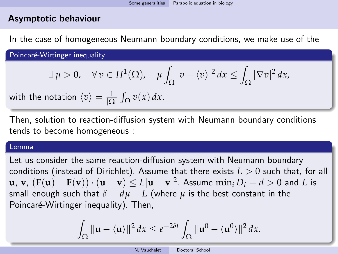In the case of homogeneous Neumann boundary conditions, we make use of the

Poincaré-Wirtinger inequality

$$
\exists \mu > 0, \quad \forall v \in H^{1}(\Omega), \quad \mu \int_{\Omega} |v - \langle v \rangle|^{2} dx \le \int_{\Omega} |\nabla v|^{2} dx,
$$

with the notation  $\langle v \rangle = \frac{1}{|\Omega|} \int_{\Omega} v(x) \, dx$ .

Then, solution to reaction-diffusion system with Neumann boundary conditions tends to become homogeneous :

#### Lemma

Let us consider the same reaction-diffusion system with Neumann boundary conditions (instead of Dirichlet). Assume that there exists *L* > 0 such that, for all **u**, **v**,  $(\mathbf{F}(\mathbf{u}) - \mathbf{F}(\mathbf{v})) \cdot (\mathbf{u} - \mathbf{v}) \le L|\mathbf{u} - \mathbf{v}|^2$ . Assume  $\min_i D_i = d > 0$  and *L* is small enough such that  $\delta = d\mu - L$  (where  $\mu$  is the best constant in the Poincaré-Wirtinger inequality). Then,

$$
\int_{\Omega} \|\mathbf{u} - \langle \mathbf{u} \rangle\|^2 dx \le e^{-2\delta t} \int_{\Omega} \|\mathbf{u}^0 - \langle \mathbf{u}^0 \rangle\|^2 dx.
$$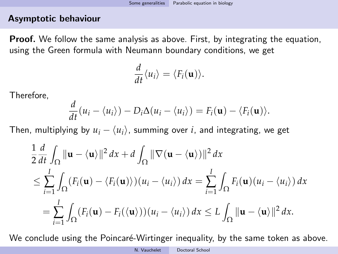**Proof.** We follow the same analysis as above. First, by integrating the equation, using the Green formula with Neumann boundary conditions, we get

$$
\frac{d}{dt}\langle u_i\rangle = \langle F_i(\mathbf{u})\rangle.
$$

Therefore,

$$
\frac{d}{dt}(u_i - \langle u_i \rangle) - D_i \Delta(u_i - \langle u_i \rangle) = F_i(\mathbf{u}) - \langle F_i(\mathbf{u}) \rangle.
$$

Then, multiplying by  $u_i - \langle u_i \rangle$ , summing over *i*, and integrating, we get

$$
\frac{1}{2} \frac{d}{dt} \int_{\Omega} \|\mathbf{u} - \langle \mathbf{u} \rangle\|^2 dx + d \int_{\Omega} \|\nabla (\mathbf{u} - \langle \mathbf{u} \rangle)\|^2 dx
$$
\n
$$
\leq \sum_{i=1}^{I} \int_{\Omega} (F_i(\mathbf{u}) - \langle F_i(\mathbf{u}) \rangle)(u_i - \langle u_i \rangle) dx = \sum_{i=1}^{I} \int_{\Omega} F_i(\mathbf{u})(u_i - \langle u_i \rangle) dx
$$
\n
$$
= \sum_{i=1}^{I} \int_{\Omega} (F_i(\mathbf{u}) - F_i(\langle \mathbf{u} \rangle))(u_i - \langle u_i \rangle) dx \leq L \int_{\Omega} \|\mathbf{u} - \langle \mathbf{u} \rangle\|^2 dx.
$$

We conclude using the Poincaré-Wirtinger inequality, by the same token as above.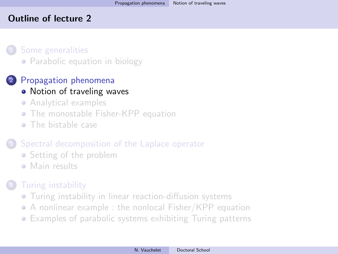# <span id="page-14-0"></span>Outline of lecture 2

[Some generalities](#page-3-0) • [Parabolic equation in biology](#page-3-0)

# <sup>2</sup> [Propagation phenomena](#page-14-0)

# • [Notion of traveling waves](#page-14-0)

- [Analytical examples](#page-19-0)
- [The monostable Fisher-KPP equation](#page-22-0)
- [The bistable case](#page-33-0)

# [Spectral decomposition of the Laplace operator](#page-36-0)

- [Setting of the problem](#page-36-0)
- [Main results](#page-41-0)

# **[Turing instability](#page-45-0)**

- [Turing instability in linear reaction-diffusion systems](#page-45-0)
- [A nonlinear example : the nonlocal Fisher/KPP equation](#page-54-0)
- [Examples of parabolic systems exhibiting Turing patterns](#page-60-0)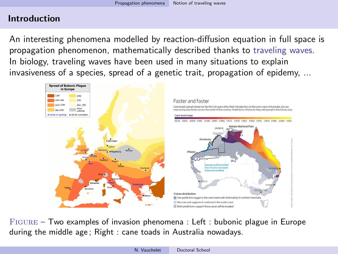# Introduction

An interesting phenomena modelled by reaction-diffusion equation in full space is propagation phenomenon, mathematically described thanks to traveling waves. In biology, traveling waves have been used in many situations to explain invasiveness of a species, spread of a genetic trait, propagation of epidemy, ...



Figure – Two examples of invasion phenomena : Left : bubonic plague in Europe during the middle age ; Right : cane toads in Australia nowadays.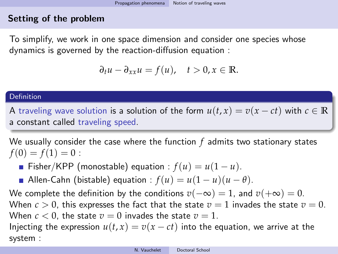# Setting of the problem

To simplify, we work in one space dimension and consider one species whose dynamics is governed by the reaction-diffusion equation :

$$
\partial_t u - \partial_{xx} u = f(u), \quad t > 0, x \in \mathbb{R}.
$$

#### Definition

A traveling wave solution is a solution of the form  $u(t, x) = v(x - ct)$  with  $c \in \mathbb{R}$ a constant called traveling speed.

We usually consider the case where the function *f* admits two stationary states  $f(0) = f(1) = 0$ :

- Fisher/KPP (monostable) equation :  $f(u) = u(1 u)$ .
- Allen-Cahn (bistable) equation :  $f(u) = u(1 u)(u \theta)$ .

We complete the definition by the conditions  $v(-\infty) = 1$ , and  $v(+\infty) = 0$ . When  $c > 0$ , this expresses the fact that the state  $v = 1$  invades the state  $v = 0$ . When  $c < 0$ , the state  $v = 0$  invades the state  $v = 1$ .

Injecting the expression  $u(t, x) = v(x - ct)$  into the equation, we arrive at the system :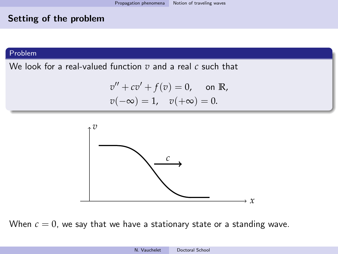# Setting of the problem

#### Problem

We look for a real-valued function *v* and a real *c* such that

$$
v'' + cv' + f(v) = 0
$$
, on R,  
 $v(-\infty) = 1$ ,  $v(+\infty) = 0$ .



When  $c = 0$ , we say that we have a stationary state or a standing wave.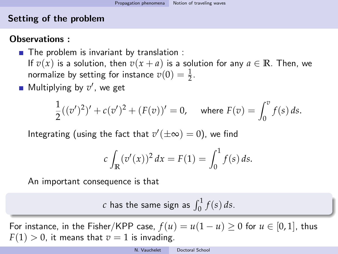# Setting of the problem

# Observations :

- $\blacksquare$  The problem is invariant by translation : If  $v(x)$  is a solution, then  $v(x + a)$  is a solution for any  $a \in \mathbb{R}$ . Then, we normalize by setting for instance  $v(0) = \frac{1}{2}$ .
- Multiplying by  $v'$ , we get

$$
\frac{1}{2}((v')^2)' + c(v')^2 + (F(v))' = 0, \quad \text{where } F(v) = \int_0^v f(s) \, ds.
$$

Integrating (using the fact that  $v'(\pm\infty)=0$ ), we find

$$
c \int_{\mathbb{R}} (v'(x))^2 dx = F(1) = \int_0^1 f(s) ds.
$$

An important consequence is that

*c* has the same sign as  $\int_0^1 f(s) ds$ .

For instance, in the Fisher/KPP case,  $f(u) = u(1 - u) \geq 0$  for  $u \in [0, 1]$ , thus  $F(1) > 0$ , it means that  $v = 1$  is invading.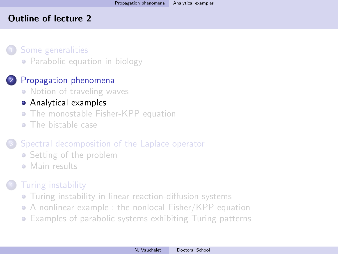# <span id="page-19-0"></span>Outline of lecture 2

[Some generalities](#page-3-0) • [Parabolic equation in biology](#page-3-0)

# <sup>2</sup> [Propagation phenomena](#page-14-0)

- [Notion of traveling waves](#page-14-0)
- [Analytical examples](#page-19-0)
- **[The monostable Fisher-KPP equation](#page-22-0)**
- [The bistable case](#page-33-0)

# [Spectral decomposition of the Laplace operator](#page-36-0)

- [Setting of the problem](#page-36-0)
- [Main results](#page-41-0)

# **[Turing instability](#page-45-0)**

- **•** [Turing instability in linear reaction-diffusion systems](#page-45-0)
- [A nonlinear example : the nonlocal Fisher/KPP equation](#page-54-0)
- [Examples of parabolic systems exhibiting Turing patterns](#page-60-0)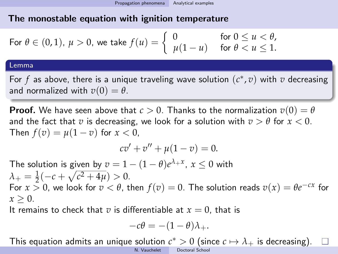For 
$$
\theta \in (0,1)
$$
,  $\mu > 0$ , we take  $f(u) = \begin{cases} 0 & \text{for } 0 \le u < \theta, \\ \mu(1-u) & \text{for } \theta < u \le 1. \end{cases}$ 

#### Lemma

For  $f$  as above, there is a unique traveling wave solution  $(c^*, v)$  with  $v$  decreasing and normalized with  $v(0) = \theta$ .

**Proof.** We have seen above that  $c > 0$ . Thanks to the normalization  $v(0) = \theta$ and the fact that *v* is decreasing, we look for a solution with  $v > \theta$  for  $x < 0$ . Then  $f(v) = \mu(1 - v)$  for  $x < 0$ ,

$$
cv' + v'' + \mu(1 - v) = 0.
$$

The solution is given by  $v = 1 - (1 - \theta)e^{\lambda_+ x}$ ,  $x \le 0$  with  $\lambda_+ = \frac{1}{2}(-c + \sqrt{c^2 + 4\mu}) > 0.$ For  $x > 0$ , we look for  $v < \theta$ , then  $f(v) = 0$ . The solution reads  $v(x) = \theta e^{-cx}$  for  $x > 0$ .

It remains to check that *v* is differentiable at  $x = 0$ , that is

$$
-c\theta = -(1-\theta)\lambda_+.
$$

This equation admits an unique solution  $c^* > 0$  (since  $c \mapsto \lambda_+$  is decreasing).

N. Vauchelet [Doctoral School](#page-0-0)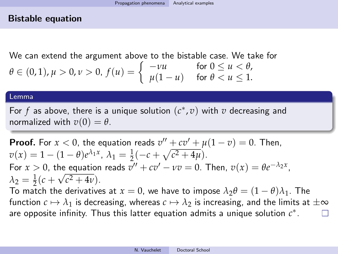## Bistable equation

We can extend the argument above to the bistable case. We take for  $\theta \in (0, 1), \mu > 0, \nu > 0, f(u) = \begin{cases} -\nu u & \text{for } 0 \le u < \theta, \\ u(1-u) & \text{for } \theta < u < 1 \end{cases}$  $\mu(1-u)$  for  $\theta < u \leq 1$ .

#### Lemma

For  $f$  as above, there is a unique solution  $(c^*, v)$  with  $v$  decreasing and normalized with  $v(0) = \theta$ .

**Proof.** For  $x < 0$ , the equation reads  $v'' + cv' + \mu(1 - v) = 0$ . Then,  $v(x) = 1 - (1 - \theta)e^{\lambda_1 x}, \lambda_1 = \frac{1}{2}(-c + \sqrt{c^2 + 4\mu}).$ For  $x > 0$ , the equation reads  $v'' + cv' - vv = 0$ . Then,  $v(x) = \theta e^{-\lambda_2 x}$ ,  $\lambda_2 = \frac{1}{2}(c + \sqrt{c^2 + 4\nu}).$ To match the derivatives at  $x = 0$ , we have to impose  $\lambda_2 \theta = (1 - \theta)\lambda_1$ . The function  $c \mapsto \lambda_1$  is decreasing, whereas  $c \mapsto \lambda_2$  is increasing, and the limits at  $\pm \infty$ 

are opposite infinity. Thus this latter equation admits a unique solution  $c^*$ .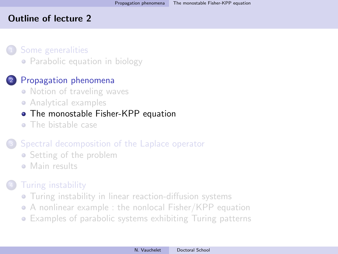# <span id="page-22-0"></span>Outline of lecture 2

[Some generalities](#page-3-0) • [Parabolic equation in biology](#page-3-0)

# <sup>2</sup> [Propagation phenomena](#page-14-0)

- [Notion of traveling waves](#page-14-0)
- [Analytical examples](#page-19-0)

# • [The monostable Fisher-KPP equation](#page-22-0)

• [The bistable case](#page-33-0)

# [Spectral decomposition of the Laplace operator](#page-36-0)

- [Setting of the problem](#page-36-0)
- [Main results](#page-41-0)

# **[Turing instability](#page-45-0)**

- **•** [Turing instability in linear reaction-diffusion systems](#page-45-0)
- [A nonlinear example : the nonlocal Fisher/KPP equation](#page-54-0)
- [Examples of parabolic systems exhibiting Turing patterns](#page-60-0)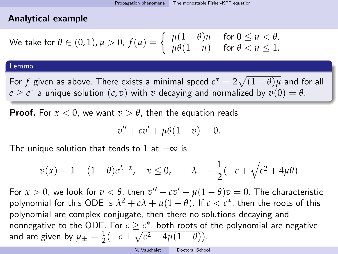# Analytical example

We take for 
$$
\theta \in (0,1), \mu > 0
$$
,  $f(u) = \begin{cases} \mu(1-\theta)u & \text{for } 0 \le u < \theta, \\ \mu\theta(1-u) & \text{for } \theta < u \le 1. \end{cases}$ 

#### Lemma

For  $f$  given as above. There exists a minimal speed  $c^* = 2\sqrt{(1-\theta)\mu}$  and for all  $c \geq c^*$  a unique solution  $(c, v)$  with  $v$  decaying and normalized by  $v(0) = \theta$ .

**Proof.** For  $x < 0$ , we want  $v > \theta$ , then the equation reads

$$
v'' + cv' + \mu\theta(1 - v) = 0.
$$

The unique solution that tends to 1 at  $-\infty$  is

$$
v(x) = 1 - (1 - \theta)e^{\lambda + x}
$$
,  $x \le 0$ ,  $\lambda_+ = \frac{1}{2}(-c + \sqrt{c^2 + 4\mu\theta})$ 

For  $x > 0$ , we look for  $v < \theta$ , then  $v'' + cv' + \mu(1-\theta)v = 0$ . The characteristic polynomial for this ODE is  $\lambda^2 + c\lambda + \mu(1-\theta)$ . If  $c < c^\ast$ , then the roots of this polynomial are complex conjugate, then there no solutions decaying and nonnegative to the ODE. For  $c \geq c^*$ , both roots of the polynomial are negative and are given by  $\mu_{\pm} = \frac{1}{2}(-c \pm \sqrt{c^2 - 4\mu(1-\theta)})$ .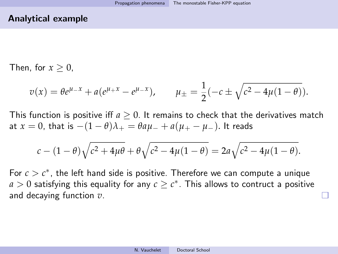#### Analytical example

Then, for  $x > 0$ .

$$
v(x) = \theta e^{\mu - x} + a(e^{\mu + x} - e^{\mu - x}),
$$
  $\mu_{\pm} = \frac{1}{2}(-c \pm \sqrt{c^2 - 4\mu(1 - \theta)}).$ 

This function is positive iff  $a \geq 0$ . It remains to check that the derivatives match at *x* = 0, that is  $-(1 - \theta)\lambda_+ = \theta a\mu_- + a(\mu_+ - \mu_-)$ . It reads

$$
c - (1 - \theta) \sqrt{c^2 + 4\mu\theta} + \theta \sqrt{c^2 - 4\mu(1 - \theta)} = 2a\sqrt{c^2 - 4\mu(1 - \theta)}.
$$

For  $c > c^*$ , the left hand side is positive. Therefore we can compute a unique  $a>0$  satisfying this equality for any  $c\geq c^*$ . This allows to contruct a positive and decaying function *v*.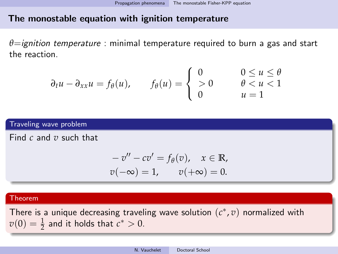*θ*=ignition temperature : minimal temperature required to burn a gas and start the reaction.

$$
\partial_t u - \partial_{xx} u = f_\theta(u), \qquad f_\theta(u) = \begin{cases} 0 & 0 \le u \le \theta \\ 0 & \theta < u < 1 \\ 0 & u = 1 \end{cases}
$$

#### Traveling wave problem

Find *c* and *v* such that

$$
-v'' - cv' = f_{\theta}(v), \quad x \in \mathbb{R},
$$
  

$$
v(-\infty) = 1, \qquad v(+\infty) = 0.
$$

#### Theorem

There is a unique decreasing traveling wave solution  $(c^*, v)$  normalized with  $v(0) = \frac{1}{2}$  and it holds that  $c^* > 0$ .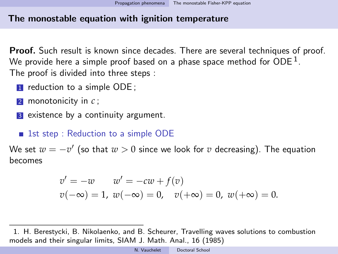Proof. Such result is known since decades. There are several techniques of proof. We provide here a simple proof based on a phase space method for ODE  $^{\rm 1}.$ The proof is divided into three steps :

- **1** reduction to a simple ODE ;
- <sup>2</sup> monotonicity in *c* ;
- **3** existence by a continuity argument.

# ■ 1st step : Reduction to a simple ODE

We set  $w=-v'$  (so that  $w>0$  since we look for  $v$  decreasing). The equation becomes

$$
v' = -w \t w' = -cw + f(v)
$$
  

$$
v(-\infty) = 1, w(-\infty) = 0, v(+\infty) = 0, w(+\infty) = 0.
$$

1. H. Berestycki, B. Nikolaenko, and B. Scheurer, Travelling waves solutions to combustion models and their singular limits, SIAM J. Math. Anal., 16 (1985)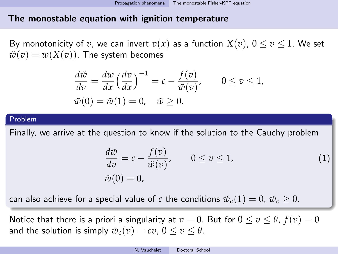By monotonicity of *v*, we can invert  $v(x)$  as a function  $X(v)$ ,  $0 \le v \le 1$ . We set  $\tilde{w}(v) = w(X(v))$ . The system becomes

$$
\frac{d\tilde{w}}{dv} = \frac{dw}{dx} \left(\frac{dv}{dx}\right)^{-1} = c - \frac{f(v)}{\tilde{w}(v)}, \qquad 0 \le v \le 1,
$$
  

$$
\tilde{w}(0) = \tilde{w}(1) = 0, \quad \tilde{w} \ge 0.
$$

#### Problem

Finally, we arrive at the question to know if the solution to the Cauchy problem

$$
\frac{d\tilde{w}}{dv} = c - \frac{f(v)}{\tilde{w}(v)}, \qquad 0 \le v \le 1,
$$
\n
$$
\tilde{w}(0) = 0,
$$
\n(1)

can also achieve for a special value of *c* the conditions  $\tilde{w}_c(1) = 0$ ,  $\tilde{w}_c \ge 0$ .

Notice that there is a priori a singularity at  $v = 0$ . But for  $0 \le v \le \theta$ ,  $f(v) = 0$ and the solution is simply  $\tilde{w}_c(v) = cv$ ,  $0 \le v \le \theta$ .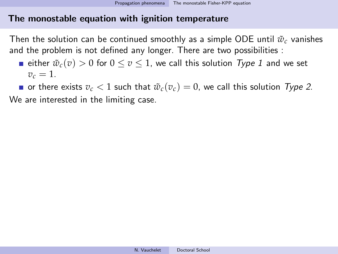Then the solution can be continued smoothly as a simple ODE until  $\tilde{w}_c$  vanishes and the problem is not defined any longer. There are two possibilities :

either  $\tilde{w}_c(v) > 0$  for  $0 \le v \le 1$ , we call this solution Type 1 and we set  $v_c = 1$ .

or there exists  $v_c < 1$  such that  $\tilde{w}_c(v_c) = 0$ , we call this solution Type 2. We are interested in the limiting case.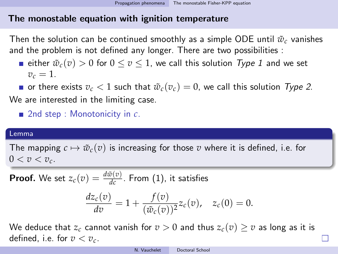Then the solution can be continued smoothly as a simple ODE until  $\tilde{w}_c$  vanishes and the problem is not defined any longer. There are two possibilities :

either  $\tilde{w}_c(v) > 0$  for  $0 \le v \le 1$ , we call this solution Type 1 and we set  $v_c = 1$ .

or there exists  $v_c < 1$  such that  $\tilde{w}_c(v_c) = 0$ , we call this solution Type 2. We are interested in the limiting case.

■ 2nd step : Monotonicity in  $c$ .

#### Lemma

The mapping  $c \mapsto \tilde{w}_c(v)$  is increasing for those *v* where it is defined, i.e. for  $0 < v < v_c$ .

**Proof.** We set  $z_c(v) = \frac{d\tilde{w}(v)}{dc}$ . From [\(1\)](#page-0-1), it satisfies

$$
\frac{dz_c(v)}{dv} = 1 + \frac{f(v)}{(\tilde{w}_c(v))^2}z_c(v), \quad z_c(0) = 0.
$$

We deduce that  $z_c$  cannot vanish for  $v > 0$  and thus  $z_c(v) \ge v$  as long as it is defined, i.e. for  $v < v_c$ .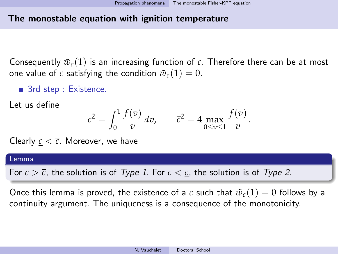Consequently  $\tilde{w}_c(1)$  is an increasing function of c. Therefore there can be at most one value of *c* satisfying the condition  $\tilde{w}_c(1) = 0$ .

■ 3rd step : Existence.

Let us define

$$
\underline{c}^2 = \int_0^1 \frac{f(v)}{v} \, dv, \qquad \overline{c}^2 = 4 \max_{0 \le v \le 1} \frac{f(v)}{v}.
$$

Clearly  $c < \overline{c}$ . Moreover, we have

#### Lemma

For  $c > \overline{c}$ , the solution is of Type 1. For  $c < \underline{c}$ , the solution is of Type 2.

Once this lemma is proved, the existence of a *c* such that  $\tilde{w}_c(1) = 0$  follows by a continuity argument. The uniqueness is a consequence of the monotonicity.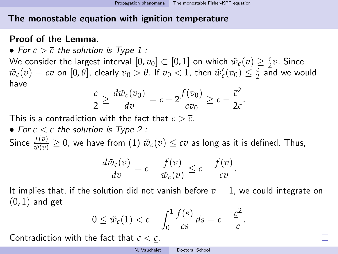# Proof of the Lemma.

• For  $c > \overline{c}$  the solution is Type 1 :

We consider the largest interval  $[0,v_0]\subset [0,1]$  on which  $\tilde{w}_c(v)\geq \frac{c}{2}v$ . Since  $\tilde{w}_c(v) = cv$  on [0, *θ*], clearly  $v_0 > \theta$ . If  $v_0 < 1$ , then  $\tilde{w}_c'(v_0) \leq \frac{c}{2}$  and we would have

$$
\frac{c}{2} \geq \frac{d\tilde{w}_c(v_0)}{dv} = c - 2\frac{f(v_0)}{cv_0} \geq c - \frac{\overline{c}^2}{2c}.
$$

This is a contradiction with the fact that  $c > \overline{c}$ .

• For  $c < c$  the solution is Type 2 :

Since  $\frac{f(v)}{\tilde{w}(v)}\geq 0$ , we have from  $(1)$   $\tilde{w}_{c}(v)\leq cv$  as long as it is defined. Thus,

$$
\frac{d\tilde{w}_c(v)}{dv} = c - \frac{f(v)}{\tilde{w}_c(v)} \leq c - \frac{f(v)}{cv}.
$$

It implies that, if the solution did not vanish before  $v = 1$ , we could integrate on  $(0, 1)$  and get

$$
0 \leq \tilde{w}_c(1) < c - \int_0^1 \frac{f(s)}{cs} \, ds = c - \frac{c^2}{c}.
$$

Contradiction with the fact that *c* < *c*.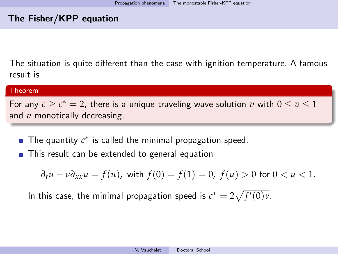# The Fisher/KPP equation

The situation is quite different than the case with ignition temperature. A famous result is

#### Theorem

For any  $c\geq c^*=2$ , there is a unique traveling wave solution  $v$  with  $0\leq v\leq 1$ and *v* monotically decreasing.

- The quantity  $c^*$  is called the minimal propagation speed.
- This result can be extended to general equation

$$
\partial_t u - v \partial_{xx} u = f(u)
$$
, with  $f(0) = f(1) = 0$ ,  $f(u) > 0$  for  $0 < u < 1$ .

In this case, the minimal propagation speed is  $c^* = 2\sqrt{f'(0)\nu}.$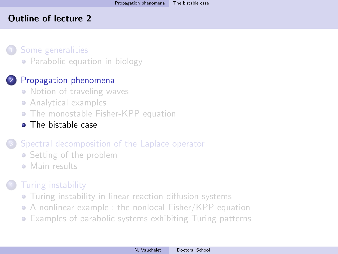# <span id="page-33-0"></span>Outline of lecture 2

[Some generalities](#page-3-0) • [Parabolic equation in biology](#page-3-0)

# <sup>2</sup> [Propagation phenomena](#page-14-0)

- [Notion of traveling waves](#page-14-0)
- [Analytical examples](#page-19-0)
- **[The monostable Fisher-KPP equation](#page-22-0)**
- [The bistable case](#page-33-0)

# [Spectral decomposition of the Laplace operator](#page-36-0)

- [Setting of the problem](#page-36-0)
- [Main results](#page-41-0)

# **[Turing instability](#page-45-0)**

- **•** [Turing instability in linear reaction-diffusion systems](#page-45-0)
- [A nonlinear example : the nonlocal Fisher/KPP equation](#page-54-0)
- [Examples of parabolic systems exhibiting Turing patterns](#page-60-0)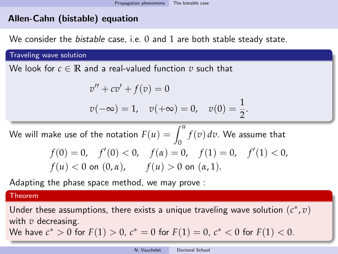# Allen-Cahn (bistable) equation

We consider the *bistable* case, i.e.  $0$  and  $1$  are both stable steady state.

Traveling wave solution

We look for  $c \in \mathbb{R}$  and a real-valued function  $v$  such that

$$
v'' + cv' + f(v) = 0
$$
  

$$
v(-\infty) = 1, \quad v(+\infty) = 0, \quad v(0) = \frac{1}{2}.
$$

We will make use of the notation  $F(u) = \int_0^u f(v) \, dv$ . We assume that  $f(0) = 0$ ,  $f'(0) < 0$ ,  $f(\alpha) = 0$ ,  $f(1) = 0$ ,  $f'(1) < 0$ , *f*(*u*) < 0 on (0,  $\alpha$ ),  $f(u) > 0$  on ( $\alpha$ , 1).

Adapting the phase space method, we may prove :

Theorem

Under these assumptions, there exists a unique traveling wave solution  $(c^*, v)$ with *v* decreasing.

We have 
$$
c^* > 0
$$
 for  $F(1) > 0$ ,  $c^* = 0$  for  $F(1) = 0$ ,  $c^* < 0$  for  $F(1) < 0$ .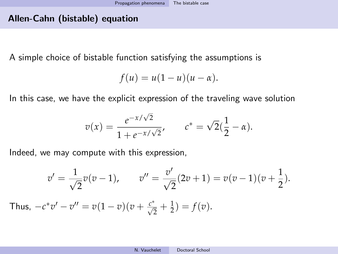# Allen-Cahn (bistable) equation

A simple choice of bistable function satisfying the assumptions is

$$
f(u) = u(1-u)(u-\alpha).
$$

In this case, we have the explicit expression of the traveling wave solution

$$
v(x) = \frac{e^{-x/\sqrt{2}}}{1 + e^{-x/\sqrt{2}}}, \qquad c^* = \sqrt{2}(\frac{1}{2} - \alpha).
$$

Indeed, we may compute with this expression,

$$
v' = \frac{1}{\sqrt{2}}v(v-1), \qquad v'' = \frac{v'}{\sqrt{2}}(2v+1) = v(v-1)(v+\frac{1}{2}).
$$

Thus,  $-c^*v' - v'' = v(1-v)(v + \frac{c^*}{\sqrt{2}} + \frac{1}{2}) = f(v)$ .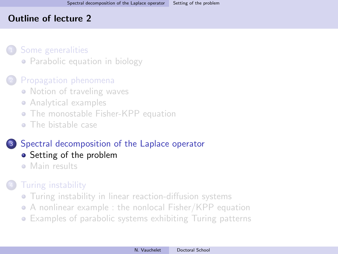### <span id="page-36-0"></span>Outline of lecture 2

### [Some generalities](#page-3-0)

• [Parabolic equation in biology](#page-3-0)

# [Propagation phenomena](#page-14-0)

- [Notion of traveling waves](#page-14-0)
- [Analytical examples](#page-19-0)
- **[The monostable Fisher-KPP equation](#page-22-0)**
- [The bistable case](#page-33-0)

# <sup>3</sup> [Spectral decomposition of the Laplace operator](#page-36-0)

- [Setting of the problem](#page-36-0)
- [Main results](#page-41-0)

# **[Turing instability](#page-45-0)**

- **•** [Turing instability in linear reaction-diffusion systems](#page-45-0)
- [A nonlinear example : the nonlocal Fisher/KPP equation](#page-54-0)
- [Examples of parabolic systems exhibiting Turing patterns](#page-60-0)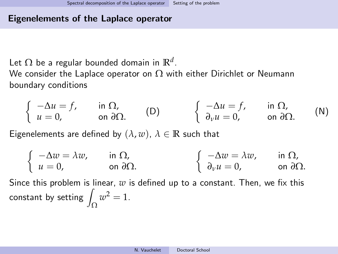#### Eigenelements of the Laplace operator

Let  $\Omega$  be a regular bounded domain in  $\mathbb{R}^d$ .

We consider the Laplace operator on  $\Omega$  with either Dirichlet or Neumann boundary conditions

<span id="page-37-1"></span><span id="page-37-0"></span>
$$
\begin{cases}\n-\Delta u = f, & \text{in } \Omega, \\
u = 0, & \text{on } \partial\Omega.\n\end{cases}
$$
\n(D)\n
$$
\begin{cases}\n-\Delta u = f, & \text{in } \Omega, \\
\partial_v u = 0, & \text{on } \partial\Omega.\n\end{cases}
$$
\n(N)

Eigenelements are defined by  $(\lambda, w)$ ,  $\lambda \in \mathbb{R}$  such that

$$
\begin{cases}\n-\Delta w = \lambda w, & \text{in } \Omega, \\
u = 0, & \text{on } \partial\Omega.\n\end{cases}\n\qquad\n\begin{cases}\n-\Delta w = \lambda w, & \text{in } \Omega, \\
\partial_{\nu} u = 0, & \text{on } \partial\Omega.\n\end{cases}
$$

Since this problem is linear, *w* is defined up to a constant. Then, we fix this constant by setting  $\int_{\Omega} w^2 = 1$ .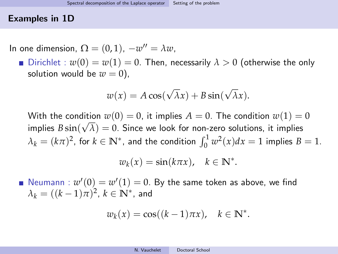### Examples in 1D

In one dimension,  $\Omega = (0,1)$ ,  $-w'' = \lambda w$ ,

Dirichlet :  $w(0) = w(1) = 0$ . Then, necessarily  $\lambda > 0$  (otherwise the only solution would be  $w = 0$ ),

$$
w(x) = A\cos(\sqrt{\lambda}x) + B\sin(\sqrt{\lambda}x).
$$

With the condition  $w(0) = 0$ , it implies  $A = 0$ . The condition  $w(1) = 0$  $\mathsf{implies}\; B\sin(\sqrt{\lambda})=0.$  Since we look for non-zero solutions, it implies  $\lambda_k = (k\pi)^2$ , for  $k \in \mathbb{N}^*$ , and the condition  $\int_0^1 w^2(x) dx = 1$  implies  $B = 1$ .

$$
w_k(x) = \sin(k\pi x), \quad k \in \mathbb{N}^*.
$$

Neumann :  $w'(0) = w'(1) = 0$ . By the same token as above, we find  $\lambda_k = ((k-1)\pi)^2$ ,  $k \in \mathbb{N}^*$ , and

$$
w_k(x) = \cos((k-1)\pi x), \quad k \in \mathbb{N}^*.
$$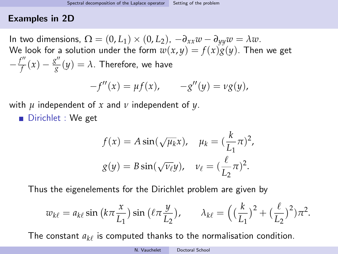### Examples in 2D

In two dimensions,  $\Omega = (0, L_1) \times (0, L_2)$ ,  $-\partial_{xx}w - \partial_{yy}w = \lambda w$ . We look for a solution under the form  $w(x, y) = f(x)g(y)$ . Then we get  $-\frac{f''}{f}$  $\frac{g''}{f}(x) - \frac{g''}{g}$  $\frac{g}{g}(y)=\lambda.$  Therefore, we have

$$
-f''(x) = \mu f(x), \qquad -g''(y) = \nu g(y),
$$

with *µ* independent of *x* and *ν* independent of *y*.

Dirichlet : We get

$$
f(x) = A \sin(\sqrt{\mu_k} x), \quad \mu_k = \left(\frac{k}{L_1}\pi\right)^2,
$$

$$
g(y) = B \sin(\sqrt{\nu_\ell} y), \quad \nu_\ell = \left(\frac{\ell}{L_2}\pi\right)^2.
$$

Thus the eigenelements for the Dirichlet problem are given by

$$
w_{k\ell} = a_{k\ell} \sin\left(k\pi \frac{x}{L_1}\right) \sin\left(\ell \pi \frac{y}{L_2}\right), \qquad \lambda_{k\ell} = \left(\left(\frac{k}{L_1}\right)^2 + \left(\frac{\ell}{L_2}\right)^2\right) \pi^2.
$$

The constant  $a_{k\ell}$  is computed thanks to the normalisation condition.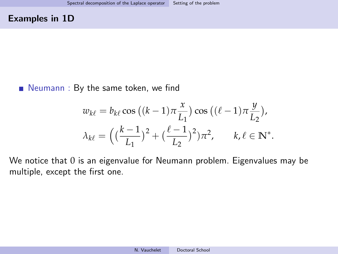### Examples in 1D

# Neumann : By the same token, we find

$$
w_{k\ell} = b_{k\ell} \cos ((k-1)\pi \frac{x}{L_1}) \cos ((\ell-1)\pi \frac{y}{L_2}),
$$
  

$$
\lambda_{k\ell} = \left( \left( \frac{k-1}{L_1} \right)^2 + \left( \frac{\ell-1}{L_2} \right)^2 \right) \pi^2, \quad k, \ell \in \mathbb{N}^*.
$$

We notice that 0 is an eigenvalue for Neumann problem. Eigenvalues may be multiple, except the first one.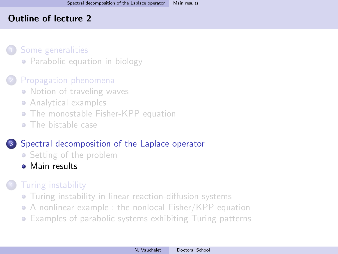### <span id="page-41-0"></span>Outline of lecture 2

### [Some generalities](#page-3-0)

• [Parabolic equation in biology](#page-3-0)

# [Propagation phenomena](#page-14-0)

- [Notion of traveling waves](#page-14-0)
- [Analytical examples](#page-19-0)
- **[The monostable Fisher-KPP equation](#page-22-0)**
- [The bistable case](#page-33-0)

# <sup>3</sup> [Spectral decomposition of the Laplace operator](#page-36-0)

- [Setting of the problem](#page-36-0)
- [Main results](#page-41-0)

# **[Turing instability](#page-45-0)**

- **•** [Turing instability in linear reaction-diffusion systems](#page-45-0)
- [A nonlinear example : the nonlocal Fisher/KPP equation](#page-54-0)
- [Examples of parabolic systems exhibiting Turing patterns](#page-60-0)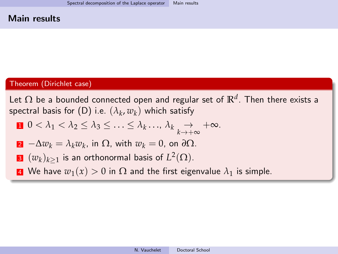#### Main results

#### Theorem (Dirichlet case)

Let  $\Omega$  be a bounded connected open and regular set of  $\mathbb{R}^d.$  Then there exists a  ${\sf spectral \ basis \ for \ (D) \ i.e. \ } (\lambda_k,w_k)$  ${\sf spectral \ basis \ for \ (D) \ i.e. \ } (\lambda_k,w_k)$  ${\sf spectral \ basis \ for \ (D) \ i.e. \ } (\lambda_k,w_k)$  which satisfy

$$
0 < \lambda_1 < \lambda_2 \leq \lambda_3 \leq \ldots \leq \lambda_k \ldots, \lambda_k \underset{k \to +\infty}{\to} +\infty.
$$

2 
$$
-\Delta w_k = \lambda_k w_k
$$
, in  $\Omega$ , with  $w_k = 0$ , on  $\partial \Omega$ .

**3** 
$$
(w_k)_{k\geq 1}
$$
 is an orthonormal basis of  $L^2(\Omega)$ .

4 We have  $w_1(x) > 0$  in  $\Omega$  and the first eigenvalue  $\lambda_1$  is simple.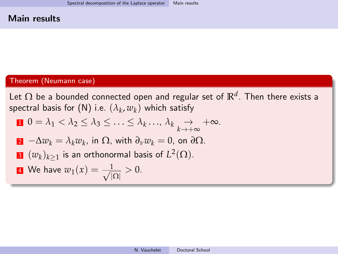#### Main results

#### Theorem (Neumann case)

Let  $\Omega$  be a bounded connected open and regular set of  $\mathbb{R}^d.$  Then there exists a  ${\sf spectral \ basis \ for \ (N) \ i.e.} \ (\lambda_k,w_k)$  ${\sf spectral \ basis \ for \ (N) \ i.e.} \ (\lambda_k,w_k)$  ${\sf spectral \ basis \ for \ (N) \ i.e.} \ (\lambda_k,w_k)$  which satisfy

$$
\mathbf{0} = \lambda_1 < \lambda_2 \leq \lambda_3 \leq \ldots \leq \lambda_k \ldots, \lambda_k \underset{k \to +\infty}{\to} +\infty.
$$

**2** 
$$
-\Delta w_k = \lambda_k w_k
$$
, in  $\Omega$ , with  $\partial_\nu w_k = 0$ , on  $\partial \Omega$ .

**8** 
$$
(w_k)_{k\geq 1}
$$
 is an orthonormal basis of  $L^2(\Omega)$ .

**4** We have 
$$
w_1(x) = \frac{1}{\sqrt{|\Omega|}} > 0
$$
.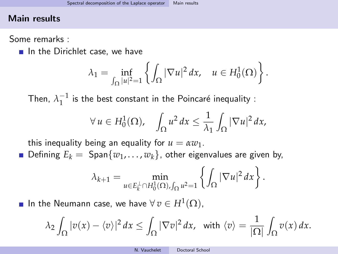### Main results

Some remarks :

 $\blacksquare$  In the Dirichlet case, we have

$$
\lambda_1 = \inf_{\int_{\Omega} |u|^2 = 1} \left\{ \int_{\Omega} |\nabla u|^2 dx, \quad u \in H_0^1(\Omega) \right\}.
$$

Then,  $\lambda_1^{-1}$  is the best constant in the Poincaré inequality :

$$
\forall u \in H_0^1(\Omega), \quad \int_{\Omega} u^2 dx \leq \frac{1}{\lambda_1} \int_{\Omega} |\nabla u|^2 dx,
$$

this inequality being an equality for  $u = \alpha w_1$ .

**D**efining  $E_k = \text{Span}\{w_1, \ldots, w_k\}$ , other eigenvalues are given by,

$$
\lambda_{k+1} = \min_{u \in E_k^{\perp} \cap H_0^1(\Omega), \int_{\Omega} u^2 = 1} \left\{ \int_{\Omega} |\nabla u|^2 dx \right\}.
$$

In the Neumann case, we have  $\forall v \in H^1(\Omega)$ ,

$$
\lambda_2 \int_{\Omega} |v(x) - \langle v \rangle|^2 dx \le \int_{\Omega} |\nabla v|^2 dx, \text{ with } \langle v \rangle = \frac{1}{|\Omega|} \int_{\Omega} v(x) dx.
$$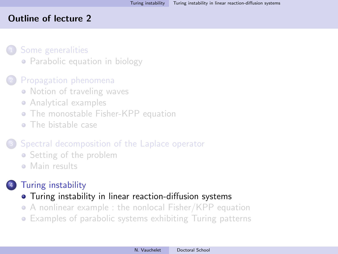### <span id="page-45-0"></span>Outline of lecture 2

### [Some generalities](#page-3-0)

• [Parabolic equation in biology](#page-3-0)

# [Propagation phenomena](#page-14-0)

- [Notion of traveling waves](#page-14-0)
- [Analytical examples](#page-19-0)
- **[The monostable Fisher-KPP equation](#page-22-0)**
- [The bistable case](#page-33-0)

# [Spectral decomposition of the Laplace operator](#page-36-0)

- [Setting of the problem](#page-36-0)
- [Main results](#page-41-0)

# **[Turing instability](#page-45-0)**

- [Turing instability in linear reaction-diffusion systems](#page-45-0)
- [A nonlinear example : the nonlocal Fisher/KPP equation](#page-54-0)
- [Examples of parabolic systems exhibiting Turing patterns](#page-60-0)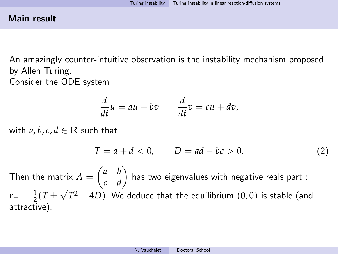### Main result

An amazingly counter-intuitive observation is the instability mechanism proposed by Allen Turing. Consider the ODE system

$$
\frac{d}{dt}u = au + bv \qquad \frac{d}{dt}v = cu + dv,
$$

with  $a, b, c, d \in \mathbb{R}$  such that

<span id="page-46-0"></span>
$$
T = a + d < 0, \qquad D = ad - bc > 0. \tag{2}
$$

Then the matrix  $A=\begin{pmatrix} a & b \ c & d \end{pmatrix}$  has two eigenvalues with negative reals part :  $r_{\pm}=\frac{1}{2}(T\pm\sqrt{T^{2}-4D}).$  We deduce that the equilibrium  $(0,0)$  is stable (and √ attractive).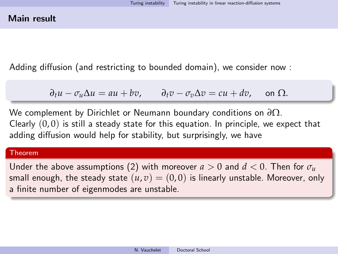Adding diffusion (and restricting to bounded domain), we consider now :

$$
\partial_t u - \sigma_u \Delta u = au + bv, \qquad \partial_t v - \sigma_v \Delta v = cu + dv, \quad \text{on } \Omega.
$$

We complement by Dirichlet or Neumann boundary conditions on *∂*Ω. Clearly  $(0, 0)$  is still a steady state for this equation. In principle, we expect that adding diffusion would help for stability, but surprisingly, we have

#### Theorem

Under the above assumptions [\(2\)](#page-46-0) with moreover  $a > 0$  and  $d < 0$ . Then for  $\sigma_u$ small enough, the steady state  $(u, v) = (0, 0)$  is linearly unstable. Moreover, only a finite number of eigenmodes are unstable.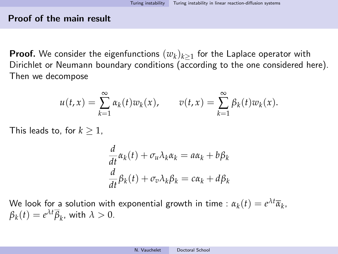#### Proof of the main result

**Proof.** We consider the eigenfunctions  $(w_k)_{k\geq 1}$  for the Laplace operator with Dirichlet or Neumann boundary conditions (according to the one considered here). Then we decompose

$$
u(t,x) = \sum_{k=1}^{\infty} \alpha_k(t) w_k(x), \qquad v(t,x) = \sum_{k=1}^{\infty} \beta_k(t) w_k(x).
$$

This leads to, for  $k \geq 1$ ,

$$
\frac{d}{dt}\alpha_k(t) + \sigma_u \lambda_k \alpha_k = a\alpha_k + b\beta_k
$$
  

$$
\frac{d}{dt}\beta_k(t) + \sigma_v \lambda_k \beta_k = c\alpha_k + d\beta_k
$$

We look for a solution with exponential growth in time :  $\alpha_k(t) = e^{\lambda t} \overline{\alpha}_k$ ,  $\beta_k(t) = e^{\lambda t} \overline{\beta}_k$ , with  $\lambda > 0$ .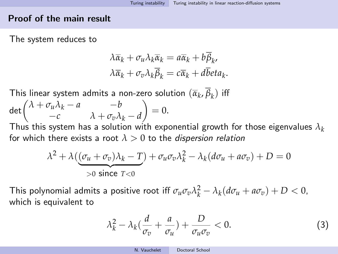#### Proof of the main result

The system reduces to

$$
\lambda \overline{\alpha}_k + \sigma_u \lambda_k \overline{\alpha}_k = a \overline{\alpha}_k + b \overline{\beta}_k, \lambda \overline{\alpha}_k + \sigma_v \lambda_k \overline{\beta}_k = c \overline{\alpha}_k + d \overline{b} et a_k.
$$

This linear system admits a non-zero solution  $(\overline{\alpha}_k, \beta_k)$  iff

$$
\det\begin{pmatrix} \lambda + \sigma_u \lambda_k - a & -b \\ -c & \lambda + \sigma_v \lambda_k - d \end{pmatrix} = 0.
$$

Thus this system has a solution with exponential growth for those eigenvalues *λ<sup>k</sup>* for which there exists a root  $\lambda > 0$  to the *dispersion relation* 

$$
\lambda^2 + \lambda \left( \underbrace{(\sigma_u + \sigma_v)\lambda_k - T}_{>0 \text{ since } T < 0} \right) + \sigma_u \sigma_v \lambda_k^2 - \lambda_k (d\sigma_u + a\sigma_v) + D = 0
$$

This polynomial admits a positive root iff  $\sigma_u \sigma_v \lambda_k^2 - \lambda_k (d\sigma_u + a\sigma_v) + D < 0$ , which is equivalent to

<span id="page-49-0"></span>
$$
\lambda_k^2 - \lambda_k \left( \frac{d}{\sigma_v} + \frac{a}{\sigma_u} \right) + \frac{D}{\sigma_u \sigma_v} < 0. \tag{3}
$$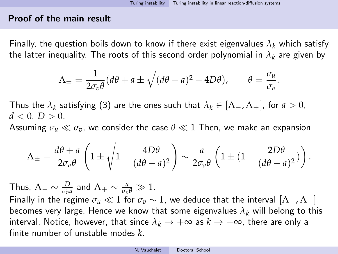.

### Proof of the main result

Finally, the question boils down to know if there exist eigenvalues  $\lambda_k$  which satisfy the latter inequality. The roots of this second order polynomial in  $\lambda_k$  are given by

$$
\Lambda_{\pm} = \frac{1}{2\sigma_v \theta} (d\theta + a \pm \sqrt{(d\theta + a)^2 - 4D\theta}), \qquad \theta = \frac{\sigma_u}{\sigma_v}
$$

Thus the  $\lambda_k$  satisfying [\(3\)](#page-49-0) are the ones such that  $\lambda_k \in [\Lambda_-, \Lambda_+]$ , for  $a > 0$ ,  $d < 0, D > 0.$ 

Assuming  $\sigma_u \ll \sigma_v$ , we consider the case  $\theta \ll 1$  Then, we make an expansion

$$
\Lambda_{\pm} = \frac{d\theta + a}{2\sigma_v \theta} \left( 1 \pm \sqrt{1 - \frac{4D\theta}{(d\theta + a)^2}} \right) \sim \frac{a}{2\sigma_v \theta} \left( 1 \pm (1 - \frac{2D\theta}{(d\theta + a)^2}) \right).
$$

Thus,  $\Lambda_- \sim \frac{D}{\sigma_v a}$  and  $\Lambda_+ \sim \frac{a}{\sigma_v \theta} \gg 1$ . Finally in the regime  $\sigma_u \ll 1$  for  $\sigma_v \sim 1$ , we deduce that the interval  $[\Lambda_-, \Lambda_+]$ becomes very large. Hence we know that some eigenvalues  $\lambda_k$  will belong to this interval. Notice, however, that since  $\lambda_k \to +\infty$  as  $k \to +\infty$ , there are only a

finite number of unstable modes *k*.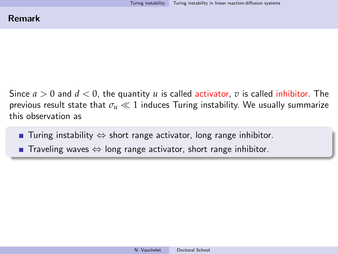Since *a* > 0 and *d* < 0, the quantity *u* is called activator, *v* is called inhibitor. The previous result state that  $\sigma_u \ll 1$  induces Turing instability. We usually summarize this observation as

- **■** Turing instability  $\Leftrightarrow$  short range activator, long range inhibitor.
- Traveling waves  $\Leftrightarrow$  long range activator, short range inhibitor.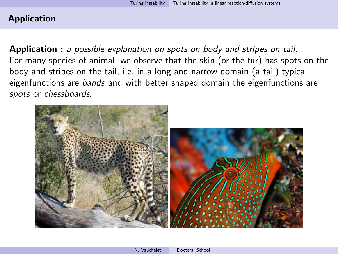### Application

Application : a possible explanation on spots on body and stripes on tail. For many species of animal, we observe that the skin (or the fur) has spots on the body and stripes on the tail, i.e. in a long and narrow domain (a tail) typical eigenfunctions are *bands* and with better shaped domain the eigenfunctions are spots or chessboards.

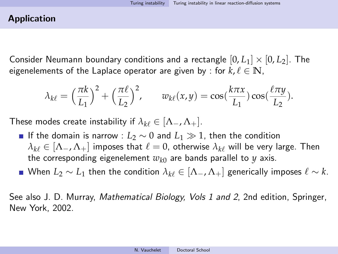### Application

Consider Neumann boundary conditions and a rectangle  $[0, L_1] \times [0, L_2]$ . The eigenelements of the Laplace operator are given by : for  $k, \ell \in \mathbb{N}$ ,

$$
\lambda_{k\ell} = \left(\frac{\pi k}{L_1}\right)^2 + \left(\frac{\pi \ell}{L_2}\right)^2, \qquad w_{k\ell}(x, y) = \cos\left(\frac{k\pi x}{L_1}\right)\cos\left(\frac{\ell \pi y}{L_2}\right).
$$

These modes create instability if  $\lambda_{k\ell} \in [\Lambda_-, \Lambda_+]$ .

- **■** If the domain is narrow :  $L_2 \sim 0$  and  $L_1 \gg 1$ , then the condition  $\lambda_{k\ell} \in [\Lambda_-, \Lambda_+]$  imposes that  $\ell = 0$ , otherwise  $\lambda_{k\ell}$  will be very large. Then the corresponding eigenelement  $w_{k0}$  are bands parallel to  $y$  axis.
- When  $L_2 \sim L_1$  then the condition  $\lambda_{k\ell} \in [\Lambda_-, \Lambda_+]$  generically imposes  $\ell \sim k$ .

See also J. D. Murray, Mathematical Biology, Vols 1 and 2, 2nd edition, Springer, New York, 2002.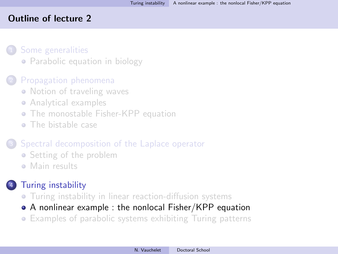### <span id="page-54-0"></span>Outline of lecture 2

### [Some generalities](#page-3-0)

• [Parabolic equation in biology](#page-3-0)

# [Propagation phenomena](#page-14-0)

- [Notion of traveling waves](#page-14-0)
- [Analytical examples](#page-19-0)
- **[The monostable Fisher-KPP equation](#page-22-0)**
- [The bistable case](#page-33-0)

# [Spectral decomposition of the Laplace operator](#page-36-0)

- [Setting of the problem](#page-36-0)
- [Main results](#page-41-0)

# **[Turing instability](#page-45-0)**

- [Turing instability in linear reaction-diffusion systems](#page-45-0)
- [A nonlinear example : the nonlocal Fisher/KPP equation](#page-54-0)
- [Examples of parabolic systems exhibiting Turing patterns](#page-60-0)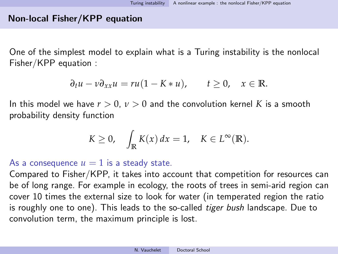# Non-local Fisher/KPP equation

One of the simplest model to explain what is a Turing instability is the nonlocal Fisher/KPP equation :

$$
\partial_t u - v \partial_{xx} u = r u (1 - K * u), \qquad t \geq 0, \quad x \in \mathbb{R}.
$$

In this model we have  $r > 0$ ,  $\nu > 0$  and the convolution kernel K is a smooth probability density function

$$
K \geq 0, \quad \int_{\mathbb{R}} K(x) dx = 1, \quad K \in L^{\infty}(\mathbb{R}).
$$

As a consequence  $u = 1$  is a steady state.

Compared to Fisher/KPP, it takes into account that competition for resources can be of long range. For example in ecology, the roots of trees in semi-arid region can cover 10 times the external size to look for water (in temperated region the ratio is roughly one to one). This leads to the so-called *tiger bush* landscape. Due to convolution term, the maximum principle is lost.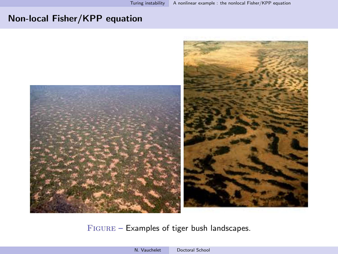# Non-local Fisher/KPP equation



Figure – Examples of tiger bush landscapes.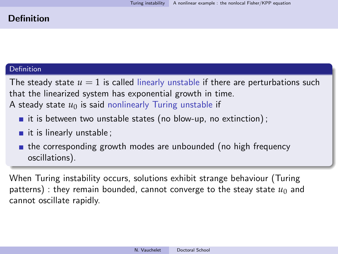### Definition

#### Definition

The steady state  $u = 1$  is called linearly unstable if there are perturbations such that the linearized system has exponential growth in time. A steady state  $u_0$  is said nonlinearly Turing unstable if

- it is between two unstable states (no blow-up, no extinction);
- $\blacksquare$  it is linearly unstable;
- **the corresponding growth modes are unbounded (no high frequency** oscillations).

When Turing instability occurs, solutions exhibit strange behaviour (Turing patterns) : they remain bounded, cannot converge to the steay state  $u_0$  and cannot oscillate rapidly.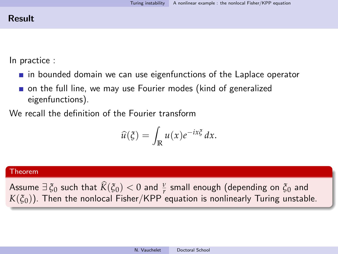# Result

In practice :

- $\blacksquare$  in bounded domain we can use eigenfunctions of the Laplace operator
- on the full line, we may use Fourier modes (kind of generalized eigenfunctions).

We recall the definition of the Fourier transform

$$
\widehat{u}(\xi) = \int_{\mathbb{R}} u(x) e^{-ix\xi} dx.
$$

#### Theorem

Assume  $\exists \xi_0$  such that  $\hat{K}(\xi_0) < 0$  and  $\frac{\nu}{r}$  small enough (depending on  $\xi_0$  and  $K(\xi_0)$ ).  $K(\xi_0)$ ). Then the nonlocal Fisher/KPP equation is nonlinearly Turing unstable.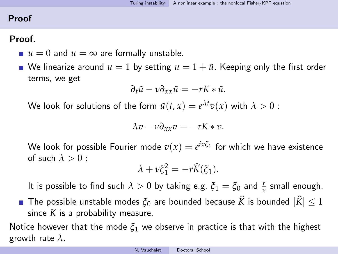# Proof

# Proof.

- $\blacksquare$  *u* = 0 and *u* =  $\infty$  are formally unstable.
- We linearize around  $u = 1$  by setting  $u = 1 + \tilde{u}$ . Keeping only the first order terms, we get

$$
\partial_t \tilde{u} - v \partial_{xx} \tilde{u} = -rK * \tilde{u}.
$$

We look for solutions of the form  $\tilde{u}(t,x) = e^{\lambda t} v(x)$  with  $\lambda > 0$  :

$$
\lambda v - v \partial_{xx} v = -rK * v.
$$

We look for possible Fourier mode  $v(x)=e^{ix\xi_1}$  for which we have existence of such  $\lambda > 0$ :

$$
\lambda + \nu \xi_1^2 = -r\widehat{K}(\xi_1).
$$

It is possible to find such  $\lambda > 0$  by taking e.g.  $\xi_1 = \xi_0$  and  $\frac{r}{\nu}$  small enough.

**The possible unstable modes**  $\xi_0$  are bounded because  $\hat{K}$  is bounded  $|\hat{K}| < 1$ since *K* is a probability measure.

Notice however that the mode  $\xi_1$  we observe in practice is that with the highest growth rate *λ*.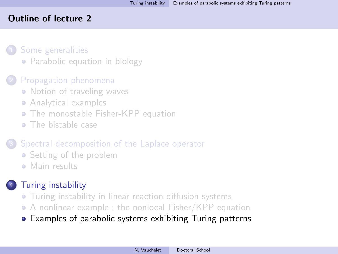### <span id="page-60-0"></span>Outline of lecture 2

### [Some generalities](#page-3-0)

• [Parabolic equation in biology](#page-3-0)

# [Propagation phenomena](#page-14-0)

- [Notion of traveling waves](#page-14-0)
- [Analytical examples](#page-19-0)
- **[The monostable Fisher-KPP equation](#page-22-0)**
- [The bistable case](#page-33-0)

# [Spectral decomposition of the Laplace operator](#page-36-0)

- [Setting of the problem](#page-36-0)
- [Main results](#page-41-0)

# **[Turing instability](#page-45-0)**

- **•** [Turing instability in linear reaction-diffusion systems](#page-45-0)
- [A nonlinear example : the nonlocal Fisher/KPP equation](#page-54-0)
- [Examples of parabolic systems exhibiting Turing patterns](#page-60-0)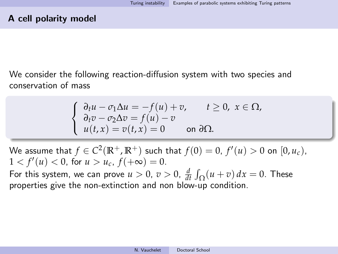We consider the following reaction-diffusion system with two species and conservation of mass

$$
\begin{cases} \n\partial_t u - \sigma_1 \Delta u = -f(u) + v, & t \ge 0, \ x \in \Omega, \\ \n\partial_t v - \sigma_2 \Delta v = f(u) - v \\ \n u(t, x) = v(t, x) = 0 & \text{on } \partial \Omega. \n\end{cases}
$$

We assume that  $f \in C^2(\mathbb{R}^+, \mathbb{R}^+)$  such that  $f(0) = 0$ ,  $f'(u) > 0$  on  $[0, u_c)$ ,  $1 < f'(u) < 0$ , for  $u > u_c$ ,  $f(+\infty) = 0$ .

For this system, we can prove  $u > 0$ ,  $v > 0$ ,  $\frac{d}{dt} \int_{\Omega} (u + v) dx = 0$ . These properties give the non-extinction and non blow-up condition.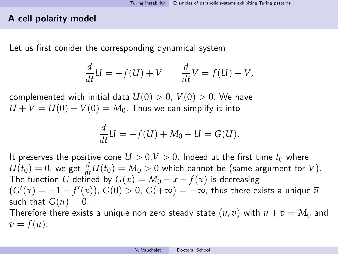### A cell polarity model

Let us first conider the corresponding dynamical system

$$
\frac{d}{dt}U = -f(U) + V \qquad \frac{d}{dt}V = f(U) - V,
$$

complemented with initial data  $U(0) > 0$ ,  $V(0) > 0$ . We have  $U + V = U(0) + V(0) = M_0$ . Thus we can simplify it into

$$
\frac{d}{dt}U = -f(U) + M_0 - U = G(U).
$$

It preserves the positive cone  $U > 0, V > 0$ . Indeed at the first time  $t_0$  where  $U(t_0) = 0$ , we get  $\frac{d}{dt}U(t_0) = M_0 > 0$  which cannot be (same argument for *V*). The function *G* defined by  $G(x) = M_0 - x - f(x)$  is decreasing  $(G'(x) = -1 - f'(x))$ ,  $G(0) > 0$ ,  $G(+\infty) = -\infty$ , thus there exists a unique  $\overline{u}$ such that  $G(\overline{u}) = 0$ .

Therefore there exists a unique non zero steady state  $(\overline{u}, \overline{v})$  with  $\overline{u} + \overline{v} = M_0$  and  $\overline{v} = f(\overline{u}).$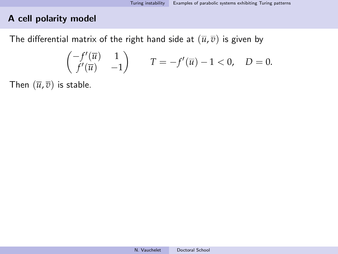# A cell polarity model

The differential matrix of the right hand side at  $(\overline{u}, \overline{v})$  is given by

$$
\begin{pmatrix} -f'(\overline{u}) & 1 \\ f'(\overline{u}) & -1 \end{pmatrix} \qquad T = -f'(\overline{u}) - 1 < 0, \quad D = 0.
$$

Then  $(\overline{u}, \overline{v})$  is stable.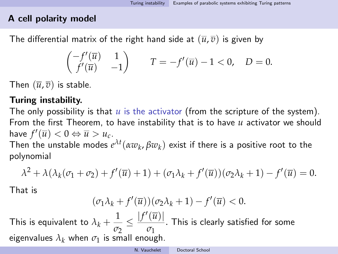# A cell polarity model

The differential matrix of the right hand side at  $(\overline{u}, \overline{v})$  is given by

$$
\begin{pmatrix} -f'(\overline{u}) & 1 \\ f'(\overline{u}) & -1 \end{pmatrix} \qquad T = -f'(\overline{u}) - 1 < 0, \quad D = 0.
$$

Then  $(\overline{u}, \overline{v})$  is stable.

# Turing instability.

The only possibility is that *u* is the activator (from the scripture of the system). From the first Theorem, to have instability that is to have *u* activator we should have  $f'(\overline{u}) < 0 \Leftrightarrow \overline{u} > u_c$ .

Then the unstable modes  $e^{\lambda t}(\alpha w_k,\beta w_k)$  exist if there is a positive root to the polynomial

$$
\lambda^2 + \lambda(\lambda_k(\sigma_1 + \sigma_2) + f'(\overline{u}) + 1) + (\sigma_1\lambda_k + f'(\overline{u}))(\sigma_2\lambda_k + 1) - f'(\overline{u}) = 0.
$$

That is

$$
(\sigma_1 \lambda_k + f'(\overline{u}))(\sigma_2 \lambda_k + 1) - f'(\overline{u}) < 0.
$$

This is equivalent to  $\lambda_k + \frac{1}{\sigma_k}$ *σ*2  $\leq \frac{|f'(\overline{u})|}{\sqrt{u}}$ *σ*1 . This is clearly satisfied for some eigenvalues  $\lambda_k$  when  $\sigma_1$  is small enough.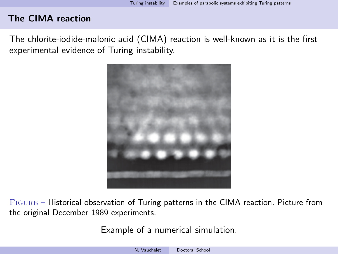The chlorite-iodide-malonic acid (CIMA) reaction is well-known as it is the first experimental evidence of Turing instability.



Figure – Historical observation of Turing patterns in the CIMA reaction. Picture from the original December 1989 experiments.

Example of a numerical simulation.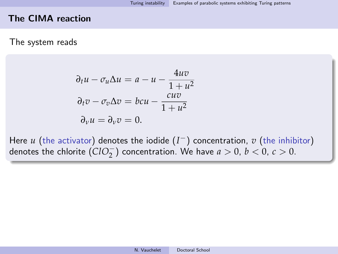#### The system reads

$$
\partial_t u - \sigma_u \Delta u = a - u - \frac{4uv}{1 + u^2}
$$

$$
\partial_t v - \sigma_v \Delta v = bcu - \frac{cuv}{1 + u^2}
$$

$$
\partial_v u = \partial_v v = 0.
$$

Here *u* (the activator) denotes the iodide (*I* <sup>−</sup>) concentration, *v* (the inhibitor) denotes the chlorite  $(CIO_2^-)$  concentration. We have  $a > 0$ ,  $b < 0$ ,  $c > 0$ .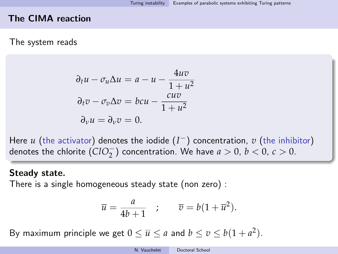### The system reads

$$
\partial_t u - \sigma_u \Delta u = a - u - \frac{4uv}{1 + u^2}
$$

$$
\partial_t v - \sigma_v \Delta v = bcu - \frac{cuv}{1 + u^2}
$$

$$
\partial_v u = \partial_v v = 0.
$$

Here *u* (the activator) denotes the iodide (*I* <sup>−</sup>) concentration, *v* (the inhibitor) denotes the chlorite  $(CIO_2^-)$  concentration. We have  $a > 0$ ,  $b < 0$ ,  $c > 0$ .

#### Steady state.

There is a single homogeneous steady state (non zero) :

$$
\overline{u} = \frac{a}{4b+1} \quad ; \qquad \overline{v} = b(1+\overline{u}^2).
$$

By maximum principle we get  $0 \leq \overline{u} \leq a$  and  $b \leq v \leq b(1+a^2)$ .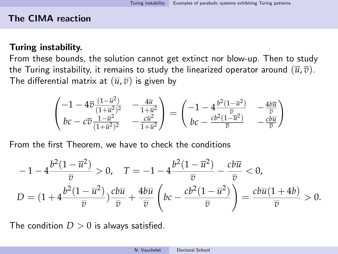### Turing instability.

From these bounds, the solution cannot get extinct nor blow-up. Then to study the Turing instability, it remains to study the linearized operator around  $(\bar{u}, \bar{v})$ . The differential matrix at  $(\overline{u}, \overline{v})$  is given by

$$
\begin{pmatrix} -1 - 4\overline{v} \frac{(1 - \overline{u}^2)}{(1 + \overline{u}^2)^2} & -\frac{4\overline{u}}{1 + \overline{u}^2} \\ b c - c\overline{v} \frac{1 - \overline{u}^2}{(1 + \overline{u}^2)^2} & -\frac{c\overline{u}^2}{1 + \overline{u}^2} \end{pmatrix} = \begin{pmatrix} -1 - 4\frac{b^2(1 - \overline{u}^2)}{\overline{v}} & -\frac{4b\overline{u}}{\overline{v}} \\ b c - \frac{c b^2(1 - \overline{u}^2)}{\overline{v}} & -\frac{c b\overline{u}}{\overline{v}} \end{pmatrix}
$$

From the first Theorem, we have to check the conditions

$$
-1 - 4\frac{b^2(1-\overline{u}^2)}{\overline{v}} > 0, \quad T = -1 - 4\frac{b^2(1-\overline{u}^2)}{\overline{v}} - \frac{cb\overline{u}}{\overline{v}} < 0,
$$
  

$$
D = (1 + 4\frac{b^2(1-\overline{u}^2)}{\overline{v}}) \frac{cb\overline{u}}{\overline{v}} + \frac{4b\overline{u}}{\overline{v}} \left(bc - \frac{cb^2(1-\overline{u}^2)}{\overline{v}}\right) = \frac{cb\overline{u}(1+4b)}{\overline{v}} > 0.
$$

The condition  $D > 0$  is always satisfied.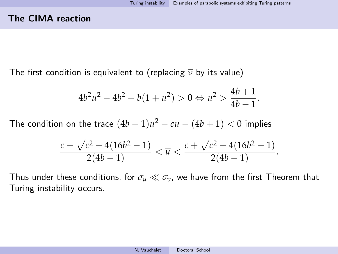The first condition is equivalent to (replacing  $\overline{v}$  by its value)

$$
4b^2\overline{u}^2 - 4b^2 - b(1+\overline{u}^2) > 0 \Leftrightarrow \overline{u}^2 > \frac{4b+1}{4b-1}.
$$

The condition on the trace  $(4b-1)\overline{u}^2-c\overline{u}-(4b+1)< 0$  implies

$$
\frac{c-\sqrt{c^2-4(16b^2-1)}}{2(4b-1)}<\overline{u}<\frac{c+\sqrt{c^2+4(16b^2-1)}}{2(4b-1)}.
$$

Thus under these conditions, for  $\sigma_u \ll \sigma_v$ , we have from the first Theorem that Turing instability occurs.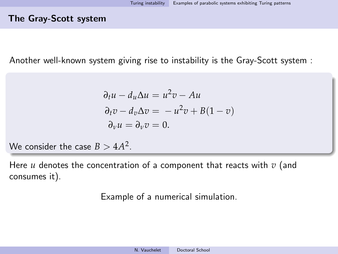### The Gray-Scott system

Another well-known system giving rise to instability is the Gray-Scott system :

$$
\partial_t u - d_u \Delta u = u^2 v - Au
$$
  
\n
$$
\partial_t v - d_v \Delta v = -u^2 v + B(1 - v)
$$
  
\n
$$
\partial_v u = \partial_v v = 0.
$$

We consider the case  $B > 4A^2$ .

Here *u* denotes the concentration of a component that reacts with *v* (and consumes it).

Example of a numerical simulation.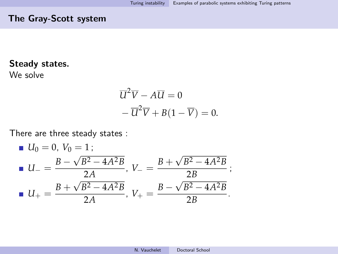# The Gray-Scott system

# Steady states.

We solve

$$
\overline{U}^2 \overline{V} - A \overline{U} = 0
$$
  
-
$$
\overline{U}^2 \overline{V} + B(1 - \overline{V}) = 0.
$$

There are three steady states :

■ 
$$
U_0 = 0
$$
,  $V_0 = 1$ ;  
\n■  $U_- = \frac{B - \sqrt{B^2 - 4A^2B}}{2A}$ ,  $V_- = \frac{B + \sqrt{B^2 - 4A^2B}}{2B}$ ;  
\n■  $U_+ = \frac{B + \sqrt{B^2 - 4A^2B}}{2A}$ ,  $V_+ = \frac{B - \sqrt{B^2 - 4A^2B}}{2B}$ .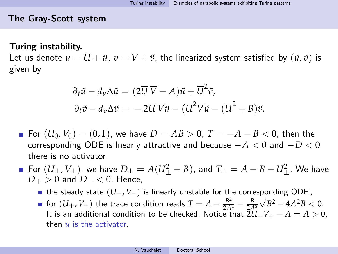# The Gray-Scott system

### Turing instability.

Let us denote  $u = \overline{U} + \tilde{u}$ ,  $v = \overline{V} + \tilde{v}$ , the linearized system satisfied by  $(\tilde{u}, \tilde{v})$  is given by

$$
\partial_t \tilde{u} - d_u \Delta \tilde{u} = (2\overline{U}\,\overline{V} - A)\tilde{u} + \overline{U}^2 \tilde{v},
$$
  

$$
\partial_t \tilde{v} - d_v \Delta \tilde{v} = -2\overline{U}\,\overline{V}\tilde{u} - (\overline{U}^2 \overline{V}\tilde{u} - (\overline{U}^2 + B)\tilde{v}.
$$

- For  $(U_0, V_0) = (0, 1)$ , we have  $D = AB > 0$ ,  $T = -A B < 0$ , then the corresponding ODE is lnearly attractive and because −*A* < 0 and −*D* < 0 there is no activator.
- ${\sf For} \; (U_\pm, V_\pm),$  we have  $D_\pm = A(U_\pm^2 B)$ , and  $T_\pm = A B U_\pm^2$ . We have *D*+ > 0 and *D*<sup>−</sup> < 0. Hence,
	- **the steady state**  $(U_-, V_-)$  **is linearly unstable for the corresponding ODE;**
	- for  $(U_+, V_+)$  the trace condition reads  $T = A \frac{B^2}{2A^2} \frac{B}{2A^2}$  $\sqrt{B^2 - 4A^2B} < 0.$ It is an additional condition to be checked. Notice that  $2U_+V_+ - A = A > 0$ , then *u* is the activator.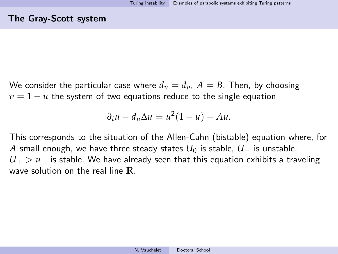We consider the particular case where  $d<sub>u</sub> = d<sub>v</sub>$ ,  $A = B$ . Then, by choosing  $v = 1 - u$  the system of two equations reduce to the single equation

$$
\partial_t u - d_u \Delta u = u^2 (1 - u) - Au.
$$

This corresponds to the situation of the Allen-Cahn (bistable) equation where, for *A* small enough, we have three steady states  $U_0$  is stable,  $U_-\$  is unstable, *U*<sup>+</sup> > *u*<sup>−</sup> is stable. We have already seen that this equation exhibits a traveling wave solution on the real line **R**.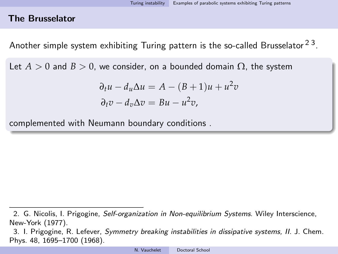Another simple system exhibiting Turing pattern is the so-called Brusselator  $^{2\,3}.$ 

Let  $A > 0$  and  $B > 0$ , we consider, on a bounded domain  $\Omega$ , the system

$$
\partial_t u - d_u \Delta u = A - (B + 1)u + u^2 v
$$
  

$$
\partial_t v - d_v \Delta v = Bu - u^2 v,
$$

complemented with Neumann boundary conditions .

<sup>2.</sup> G. Nicolis, I. Prigogine, Self-organization in Non-equilibrium Systems. Wiley Interscience, New-York (1977).

<sup>3.</sup> I. Prigogine, R. Lefever, Symmetry breaking instabilities in dissipative systems, II. J. Chem. Phys. 48, 1695–1700 (1968).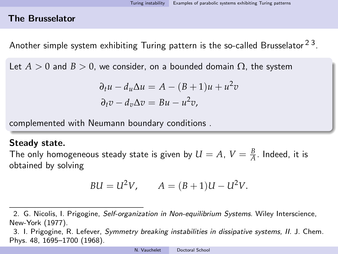Another simple system exhibiting Turing pattern is the so-called Brusselator  $^{2\,3}.$ 

Let  $A > 0$  and  $B > 0$ , we consider, on a bounded domain  $\Omega$ , the system

$$
\partial_t u - d_u \Delta u = A - (B + 1)u + u^2 v
$$
  

$$
\partial_t v - d_v \Delta v = Bu - u^2 v,
$$

complemented with Neumann boundary conditions .

#### Steady state.

The only homogeneous steady state is given by  $U = A$ ,  $V = \frac{B}{A}$ . Indeed, it is obtained by solving

$$
BU = U^2V, \qquad A = (B+1)U - U^2V.
$$

<sup>2.</sup> G. Nicolis, I. Prigogine, Self-organization in Non-equilibrium Systems. Wiley Interscience, New-York (1977).

<sup>3.</sup> I. Prigogine, R. Lefever, Symmetry breaking instabilities in dissipative systems, II. J. Chem. Phys. 48, 1695–1700 (1968).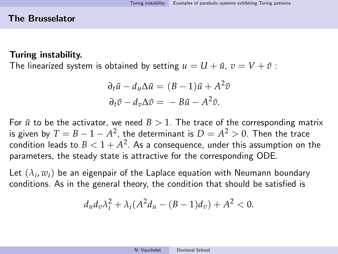## Turing instability.

The linearized system is obtained by setting  $u = U + \tilde{u}$ ,  $v = V + \tilde{v}$ :

$$
\partial_t \tilde{u} - d_u \Delta \tilde{u} = (B - 1)\tilde{u} + A^2 \tilde{v}
$$
  

$$
\partial_t \tilde{v} - d_v \Delta \tilde{v} = -B\tilde{u} - A^2 \tilde{v}.
$$

For  $\tilde{u}$  to be the activator, we need  $B > 1$ . The trace of the corresponding matrix is given by  $T=B-1-A^2$ , the determinant is  $D=A^2>0.$  Then the trace condition leads to  $B < 1 + A^2$ . As a consequence, under this assumption on the parameters, the steady state is attractive for the corresponding ODE.

Let  $(\lambda_i, w_i)$  be an eigenpair of the Laplace equation with Neumann boundary conditions. As in the general theory, the condition that should be satisfied is

$$
d_u d_v \lambda_i^2 + \lambda_i (A^2 d_u - (B-1)d_v) + A^2 < 0.
$$